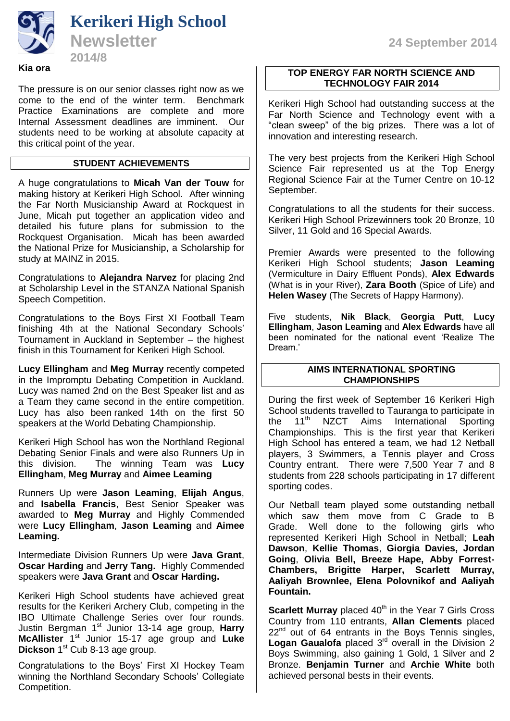The pressure is on our senior classes right now as we come to the end of the winter term. Benchmark Practice Examinations are complete and more Internal Assessment deadlines are imminent. Our students need to be working at absolute capacity at this critical point of the year.

## **STUDENT ACHIEVEMENTS**

A huge congratulations to **Micah Van der Touw** for making history at Kerikeri High School. After winning the Far North Musicianship Award at Rockquest in June, Micah put together an application video and detailed his future plans for submission to the Rockquest Organisation. Micah has been awarded the National Prize for Musicianship, a Scholarship for study at MAINZ in 2015.

Congratulations to **Alejandra Narvez** for placing 2nd at Scholarship Level in the STANZA National Spanish Speech Competition.

Congratulations to the Boys First XI Football Team finishing 4th at the National Secondary Schools' Tournament in Auckland in September – the highest finish in this Tournament for Kerikeri High School.

**Lucy Ellingham** and **Meg Murray** recently competed in the Impromptu Debating Competition in Auckland. Lucy was named 2nd on the Best Speaker list and as a Team they came second in the entire competition. Lucy has also been ranked 14th on the first 50 speakers at the World Debating Championship.

Kerikeri High School has won the Northland Regional Debating Senior Finals and were also Runners Up in this division. The winning Team was **Lucy Ellingham**, **Meg Murray** and **Aimee Leaming**

Runners Up were **Jason Leaming**, **Elijah Angus**, and **Isabella Francis**, Best Senior Speaker was awarded to **Meg Murray** and Highly Commended were **Lucy Ellingham**, **Jason Leaming** and **Aimee Leaming.** 

Intermediate Division Runners Up were **Java Grant**, **Oscar Harding** and **Jerry Tang.** Highly Commended speakers were **Java Grant** and **Oscar Harding.**

Kerikeri High School students have achieved great results for the Kerikeri Archery Club, competing in the IBO Ultimate Challenge Series over four rounds. Justin Bergman 1st Junior 13-14 age group, **Harry McAllister** 1 st Junior 15-17 age group and **Luke Dickson** 1 st Cub 8-13 age group.

Congratulations to the Boys' First XI Hockey Team winning the Northland Secondary Schools' Collegiate Competition.

#### **TOP ENERGY FAR NORTH SCIENCE AND TECHNOLOGY FAIR 2014** 2014/7 **2014/7 2014/7 2014**

Kerikeri High School had outstanding success at the Far North Science and Technology event with a "clean sweep" of the big prizes. There was a lot of innovation and interesting research.

The very best projects from the Kerikeri High School Science Fair represented us at the Top Energy Regional Science Fair at the Turner Centre on 10-12 September.

Congratulations to all the students for their success. Kerikeri High School Prizewinners took 20 Bronze, 10 Silver, 11 Gold and 16 Special Awards.

Premier Awards were presented to the following Kerikeri High School students; **Jason Leaming** (Vermiculture in Dairy Effluent Ponds), **Alex Edwards** (What is in your River), **Zara Booth** (Spice of Life) and **Helen Wasey** (The Secrets of Happy Harmony).

Five students, **Nik Black**, **Georgia Putt**, **Lucy Ellingham**, **Jason Leaming** and **Alex Edwards** have all been nominated for the national event 'Realize The Dream<sup>'</sup>

## **AIMS INTERNATIONAL SPORTING CHAMPIONSHIPS**

During the first week of September 16 Kerikeri High School students travelled to Tauranga to participate in<br>the 11<sup>th</sup> NZCT Aims International Sporting the 11<sup>th</sup> NZCT Aims International Sporting Championships. This is the first year that Kerikeri High School has entered a team, we had 12 Netball players, 3 Swimmers, a Tennis player and Cross Country entrant. There were 7,500 Year 7 and 8 students from 228 schools participating in 17 different sporting codes.

Our Netball team played some outstanding netball which saw them move from C Grade to B Grade. Well done to the following girls who represented Kerikeri High School in Netball; **Leah Dawson**, **Kellie Thomas**, **Giorgia Davies, Jordan Going**, **Olivia Bell, Breeze Hape, Abby Forrest-Chambers, Brigitte Harper, Scarlett Murray, Aaliyah Brownlee, Elena Polovnikof and Aaliyah Fountain.**

**Scarlett Murray** placed 40<sup>th</sup> in the Year 7 Girls Cross Country from 110 entrants, **Allan Clements** placed  $22<sup>nd</sup>$  out of 64 entrants in the Boys Tennis singles, Logan Gaualofa placed 3<sup>rd</sup> overall in the Division 2 Boys Swimming, also gaining 1 Gold, 1 Silver and 2 Bronze. **Benjamin Turner** and **Archie White** both achieved personal bests in their events.